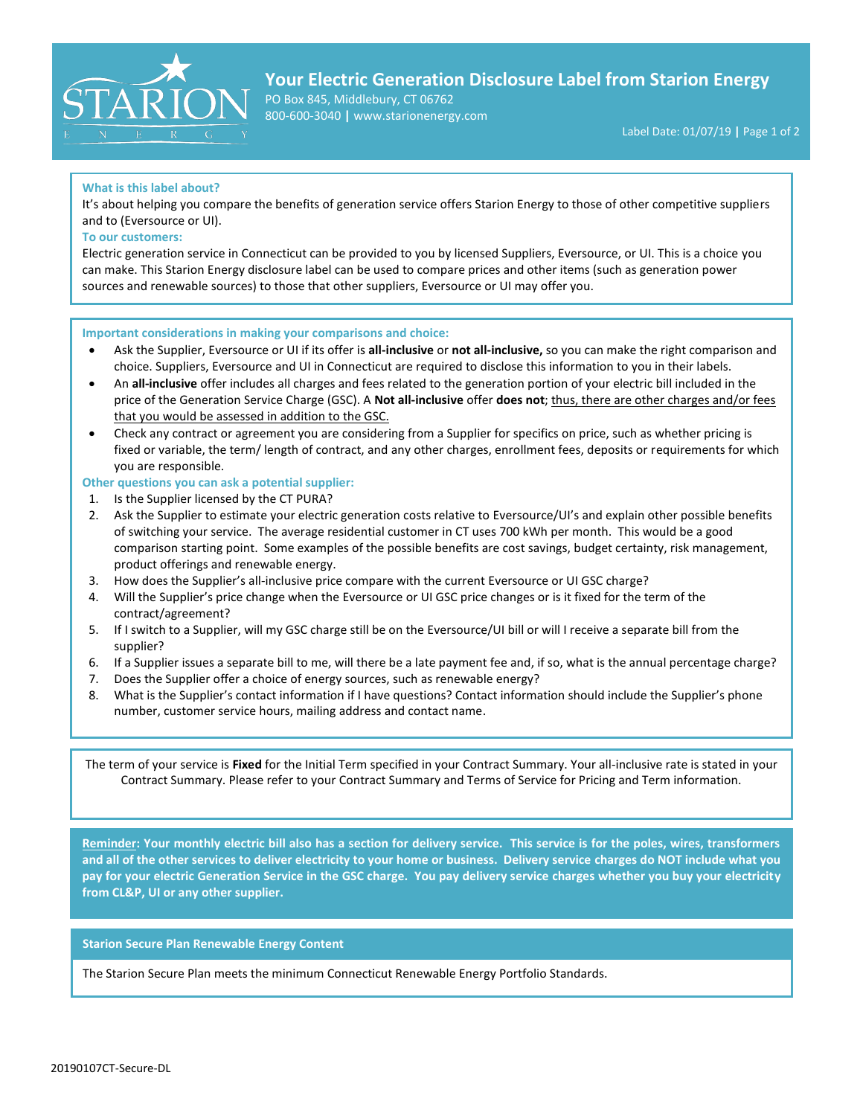

# **Your Electric Generation Disclosure Label from Starion Energy**

PO Box 845, Middlebury, CT 06762 800-600-3040 **|** www.starionenergy.com

## **What is this label about?**

It's about helping you compare the benefits of generation service offers Starion Energy to those of other competitive suppliers and to (Eversource or UI).

### **To our customers:**

Electric generation service in Connecticut can be provided to you by licensed Suppliers, Eversource, or UI. This is a choice you can make. This Starion Energy disclosure label can be used to compare prices and other items (such as generation power sources and renewable sources) to those that other suppliers, Eversource or UI may offer you.

### **Important considerations in making your comparisons and choice:**

- Ask the Supplier, Eversource or UI if its offer is **all-inclusive** or **not all-inclusive,** so you can make the right comparison and choice. Suppliers, Eversource and UI in Connecticut are required to disclose this information to you in their labels.
- An **all-inclusive** offer includes all charges and fees related to the generation portion of your electric bill included in the price of the Generation Service Charge (GSC). A **Not all-inclusive** offer **does not**; thus, there are other charges and/or fees that you would be assessed in addition to the GSC.
- Check any contract or agreement you are considering from a Supplier for specifics on price, such as whether pricing is fixed or variable, the term/ length of contract, and any other charges, enrollment fees, deposits or requirements for which you are responsible.

## **Other questions you can ask a potential supplier:**

- 1. Is the Supplier licensed by the CT PURA?
- 2. Ask the Supplier to estimate your electric generation costs relative to Eversource/UI's and explain other possible benefits of switching your service. The average residential customer in CT uses 700 kWh per month. This would be a good comparison starting point. Some examples of the possible benefits are cost savings, budget certainty, risk management, product offerings and renewable energy.
- 3. How does the Supplier's all-inclusive price compare with the current Eversource or UI GSC charge?
- 4. Will the Supplier's price change when the Eversource or UI GSC price changes or is it fixed for the term of the contract/agreement?
- 5. If I switch to a Supplier, will my GSC charge still be on the Eversource/UI bill or will I receive a separate bill from the supplier?
- 6. If a Supplier issues a separate bill to me, will there be a late payment fee and, if so, what is the annual percentage charge?
- 7. Does the Supplier offer a choice of energy sources, such as renewable energy?
- 8. What is the Supplier's contact information if I have questions? Contact information should include the Supplier's phone number, customer service hours, mailing address and contact name.

The term of your service is **Fixed** for the Initial Term specified in your Contract Summary. Your all-inclusive rate is stated in your Contract Summary. Please refer to your Contract Summary and Terms of Service for Pricing and Term information.

**Reminder: Your monthly electric bill also has a section for delivery service. This service is for the poles, wires, transformers and all of the other services to deliver electricity to your home or business. Delivery service charges do NOT include what you pay for your electric Generation Service in the GSC charge. You pay delivery service charges whether you buy your electricity from CL&P, UI or any other supplier.**

# **Starion Secure Plan Renewable Energy Content**

The Starion Secure Plan meets the minimum Connecticut Renewable Energy Portfolio Standards.